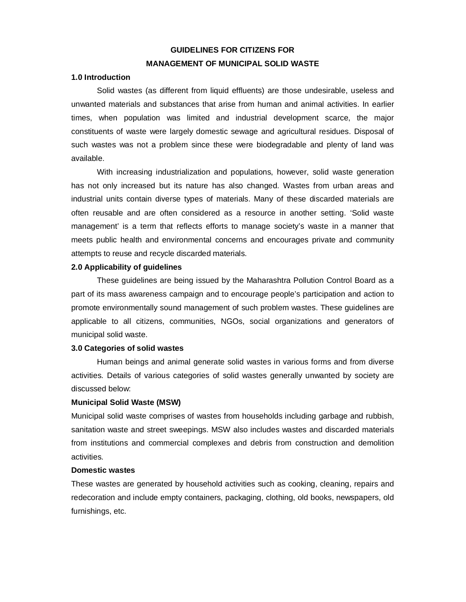# **GUIDELINES FOR CITIZENS FOR MANAGEMENT OF MUNICIPAL SOLID WASTE**

## **1.0 Introduction**

Solid wastes (as different from liquid effluents) are those undesirable, useless and unwanted materials and substances that arise from human and animal activities. In earlier times, when population was limited and industrial development scarce, the major constituents of waste were largely domestic sewage and agricultural residues. Disposal of such wastes was not a problem since these were biodegradable and plenty of land was available.

With increasing industrialization and populations, however, solid waste generation has not only increased but its nature has also changed. Wastes from urban areas and industrial units contain diverse types of materials. Many of these discarded materials are often reusable and are often considered as a resource in another setting. 'Solid waste management' is a term that reflects efforts to manage society's waste in a manner that meets public health and environmental concerns and encourages private and community attempts to reuse and recycle discarded materials.

## **2.0 Applicability of guidelines**

These guidelines are being issued by the Maharashtra Pollution Control Board as a part of its mass awareness campaign and to encourage people's participation and action to promote environmentally sound management of such problem wastes. These guidelines are applicable to all citizens, communities, NGOs, social organizations and generators of municipal solid waste.

#### **3.0 Categories of solid wastes**

Human beings and animal generate solid wastes in various forms and from diverse activities. Details of various categories of solid wastes generally unwanted by society are discussed below:

#### **Municipal Solid Waste (MSW)**

Municipal solid waste comprises of wastes from households including garbage and rubbish, sanitation waste and street sweepings. MSW also includes wastes and discarded materials from institutions and commercial complexes and debris from construction and demolition activities.

#### **Domestic wastes**

These wastes are generated by household activities such as cooking, cleaning, repairs and redecoration and include empty containers, packaging, clothing, old books, newspapers, old furnishings, etc.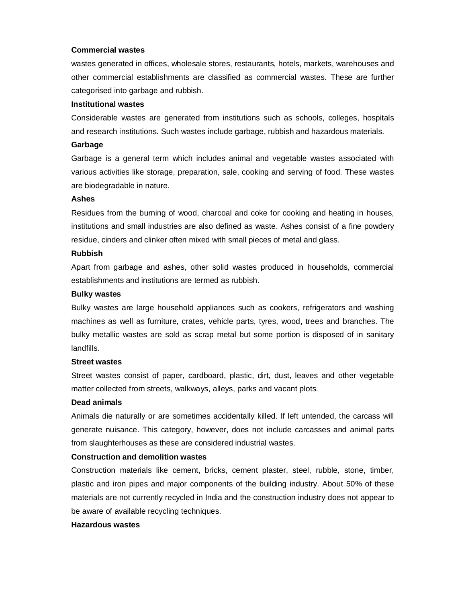## **Commercial wastes**

wastes generated in offices, wholesale stores, restaurants, hotels, markets, warehouses and other commercial establishments are classified as commercial wastes. These are further categorised into garbage and rubbish.

## **Institutional wastes**

Considerable wastes are generated from institutions such as schools, colleges, hospitals and research institutions. Such wastes include garbage, rubbish and hazardous materials.

## **Garbage**

Garbage is a general term which includes animal and vegetable wastes associated with various activities like storage, preparation, sale, cooking and serving of food. These wastes are biodegradable in nature.

## **Ashes**

Residues from the burning of wood, charcoal and coke for cooking and heating in houses, institutions and small industries are also defined as waste. Ashes consist of a fine powdery residue, cinders and clinker often mixed with small pieces of metal and glass.

## **Rubbish**

Apart from garbage and ashes, other solid wastes produced in households, commercial establishments and institutions are termed as rubbish.

## **Bulky wastes**

Bulky wastes are large household appliances such as cookers, refrigerators and washing machines as well as furniture, crates, vehicle parts, tyres, wood, trees and branches. The bulky metallic wastes are sold as scrap metal but some portion is disposed of in sanitary landfills.

## **Street wastes**

Street wastes consist of paper, cardboard, plastic, dirt, dust, leaves and other vegetable matter collected from streets, walkways, alleys, parks and vacant plots.

## **Dead animals**

Animals die naturally or are sometimes accidentally killed. If left untended, the carcass will generate nuisance. This category, however, does not include carcasses and animal parts from slaughterhouses as these are considered industrial wastes.

## **Construction and demolition wastes**

Construction materials like cement, bricks, cement plaster, steel, rubble, stone, timber, plastic and iron pipes and major components of the building industry. About 50% of these materials are not currently recycled in India and the construction industry does not appear to be aware of available recycling techniques.

## **Hazardous wastes**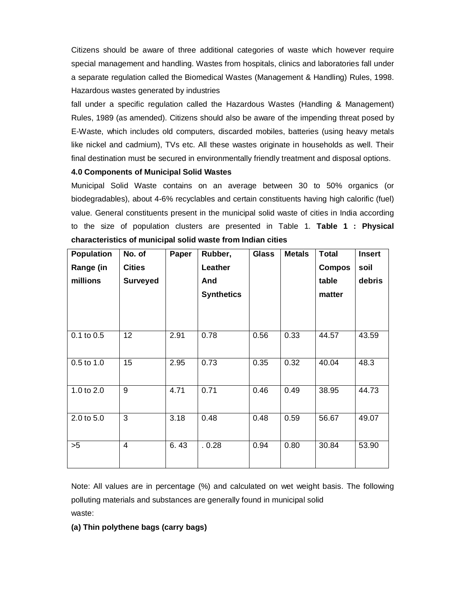Citizens should be aware of three additional categories of waste which however require special management and handling. Wastes from hospitals, clinics and laboratories fall under a separate regulation called the Biomedical Wastes (Management & Handling) Rules, 1998. Hazardous wastes generated by industries

fall under a specific regulation called the Hazardous Wastes (Handling & Management) Rules, 1989 (as amended). Citizens should also be aware of the impending threat posed by E-Waste, which includes old computers, discarded mobiles, batteries (using heavy metals like nickel and cadmium), TVs etc. All these wastes originate in households as well. Their final destination must be secured in environmentally friendly treatment and disposal options.

## **4.0 Components of Municipal Solid Wastes**

Municipal Solid Waste contains on an average between 30 to 50% organics (or biodegradables), about 4-6% recyclables and certain constituents having high calorific (fuel) value. General constituents present in the municipal solid waste of cities in India according to the size of population clusters are presented in Table 1. **Table 1 : Physical characteristics of municipal solid waste from Indian cities**

| <b>Population</b> | No. of          | Paper | Rubber,           | <b>Glass</b> | <b>Metals</b> | <b>Total</b>  | <b>Insert</b> |
|-------------------|-----------------|-------|-------------------|--------------|---------------|---------------|---------------|
| Range (in         | <b>Cities</b>   |       | Leather           |              |               | <b>Compos</b> | soil          |
| millions          | <b>Surveyed</b> |       | And               |              |               | table         | debris        |
|                   |                 |       | <b>Synthetics</b> |              |               | matter        |               |
|                   |                 |       |                   |              |               |               |               |
|                   |                 |       |                   |              |               |               |               |
| $0.1$ to $0.5$    | 12              | 2.91  | 0.78              | 0.56         | 0.33          | 44.57         | 43.59         |
|                   |                 |       |                   |              |               |               |               |
| 0.5 to 1.0        | 15              | 2.95  | 0.73              | 0.35         | 0.32          | 40.04         | 48.3          |
|                   |                 |       |                   |              |               |               |               |
| 1.0 to 2.0        | 9               | 4.71  | 0.71              | 0.46         | 0.49          | 38.95         | 44.73         |
|                   |                 |       |                   |              |               |               |               |
| 2.0 to 5.0        | 3               | 3.18  | 0.48              | 0.48         | 0.59          | 56.67         | 49.07         |
|                   |                 |       |                   |              |               |               |               |
| >5                | 4               | 6.43  | .0.28             | 0.94         | 0.80          | 30.84         | 53.90         |
|                   |                 |       |                   |              |               |               |               |

Note: All values are in percentage (%) and calculated on wet weight basis. The following polluting materials and substances are generally found in municipal solid waste:

## **(a) Thin polythene bags (carry bags)**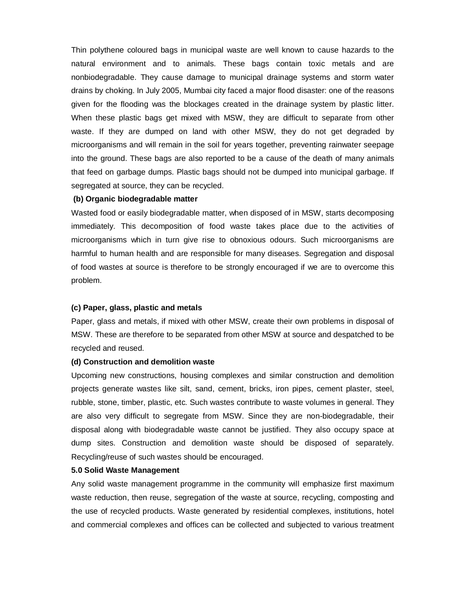Thin polythene coloured bags in municipal waste are well known to cause hazards to the natural environment and to animals. These bags contain toxic metals and are nonbiodegradable. They cause damage to municipal drainage systems and storm water drains by choking. In July 2005, Mumbai city faced a major flood disaster: one of the reasons given for the flooding was the blockages created in the drainage system by plastic litter. When these plastic bags get mixed with MSW, they are difficult to separate from other waste. If they are dumped on land with other MSW, they do not get degraded by microorganisms and will remain in the soil for years together, preventing rainwater seepage into the ground. These bags are also reported to be a cause of the death of many animals that feed on garbage dumps. Plastic bags should not be dumped into municipal garbage. If segregated at source, they can be recycled.

## **(b) Organic biodegradable matter**

Wasted food or easily biodegradable matter, when disposed of in MSW, starts decomposing immediately. This decomposition of food waste takes place due to the activities of microorganisms which in turn give rise to obnoxious odours. Such microorganisms are harmful to human health and are responsible for many diseases. Segregation and disposal of food wastes at source is therefore to be strongly encouraged if we are to overcome this problem.

## **(c) Paper, glass, plastic and metals**

Paper, glass and metals, if mixed with other MSW, create their own problems in disposal of MSW. These are therefore to be separated from other MSW at source and despatched to be recycled and reused.

#### **(d) Construction and demolition waste**

Upcoming new constructions, housing complexes and similar construction and demolition projects generate wastes like silt, sand, cement, bricks, iron pipes, cement plaster, steel, rubble, stone, timber, plastic, etc. Such wastes contribute to waste volumes in general. They are also very difficult to segregate from MSW. Since they are non-biodegradable, their disposal along with biodegradable waste cannot be justified. They also occupy space at dump sites. Construction and demolition waste should be disposed of separately. Recycling/reuse of such wastes should be encouraged.

#### **5.0 Solid Waste Management**

Any solid waste management programme in the community will emphasize first maximum waste reduction, then reuse, segregation of the waste at source, recycling, composting and the use of recycled products. Waste generated by residential complexes, institutions, hotel and commercial complexes and offices can be collected and subjected to various treatment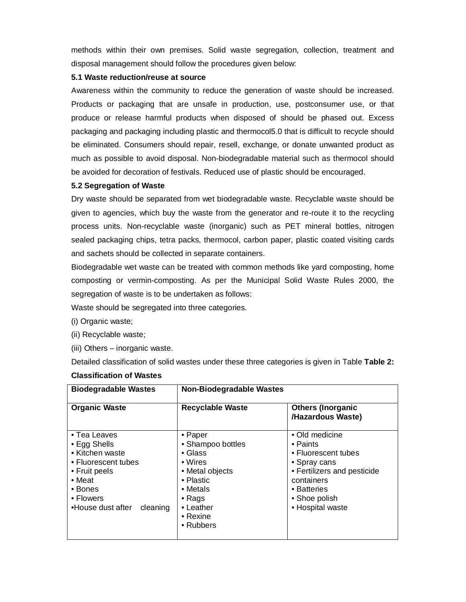methods within their own premises. Solid waste segregation, collection, treatment and disposal management should follow the procedures given below:

## **5.1 Waste reduction/reuse at source**

Awareness within the community to reduce the generation of waste should be increased. Products or packaging that are unsafe in production, use, postconsumer use, or that produce or release harmful products when disposed of should be phased out. Excess packaging and packaging including plastic and thermocol5.0 that is difficult to recycle should be eliminated. Consumers should repair, resell, exchange, or donate unwanted product as much as possible to avoid disposal. Non-biodegradable material such as thermocol should be avoided for decoration of festivals. Reduced use of plastic should be encouraged.

## **5.2 Segregation of Waste**

Dry waste should be separated from wet biodegradable waste. Recyclable waste should be given to agencies, which buy the waste from the generator and re-route it to the recycling process units. Non-recyclable waste (inorganic) such as PET mineral bottles, nitrogen sealed packaging chips, tetra packs, thermocol, carbon paper, plastic coated visiting cards and sachets should be collected in separate containers.

Biodegradable wet waste can be treated with common methods like yard composting, home composting or vermin-composting. As per the Municipal Solid Waste Rules 2000, the segregation of waste is to be undertaken as follows:

Waste should be segregated into three categories.

- (i) Organic waste;
- (ii) Recyclable waste;
- (iii) Others inorganic waste.

Detailed classification of solid wastes under these three categories is given in Table **Table 2:** 

| <b>Biodegradable Wastes</b>                                                                                                                                        | <b>Non-Biodegradable Wastes</b>                                                                                                                                        |                                                                                                                                                                    |  |  |
|--------------------------------------------------------------------------------------------------------------------------------------------------------------------|------------------------------------------------------------------------------------------------------------------------------------------------------------------------|--------------------------------------------------------------------------------------------------------------------------------------------------------------------|--|--|
| <b>Organic Waste</b>                                                                                                                                               | <b>Recyclable Waste</b>                                                                                                                                                | <b>Others (Inorganic</b><br>/Hazardous Waste)                                                                                                                      |  |  |
| • Tea Leaves<br>• Egg Shells<br>• Kitchen waste<br>• Fluorescent tubes<br>• Fruit peels<br>$\bullet$ Meat<br>• Bones<br>• Flowers<br>•House dust after<br>cleaning | • Paper<br>• Shampoo bottles<br>$\bullet$ Glass<br>• Wires<br>• Metal objects<br>• Plastic<br>• Metals<br>$\bullet$ Rags<br>• Leather<br>$\bullet$ Rexine<br>• Rubbers | • Old medicine<br>• Paints<br>• Fluorescent tubes<br>• Spray cans<br>• Fertilizers and pesticide<br>containers<br>• Batteries<br>• Shoe polish<br>• Hospital waste |  |  |

## **Classification of Wastes**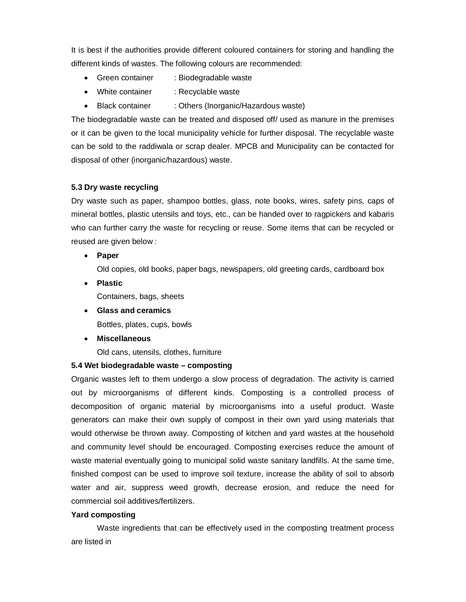It is best if the authorities provide different coloured containers for storing and handling the different kinds of wastes. The following colours are recommended:

- Green container : Biodegradable waste
- White container : Recyclable waste
- Black container : Others (Inorganic/Hazardous waste)

The biodegradable waste can be treated and disposed off/ used as manure in the premises or it can be given to the local municipality vehicle for further disposal. The recyclable waste can be sold to the raddiwala or scrap dealer. MPCB and Municipality can be contacted for disposal of other (inorganic/hazardous) waste.

## **5.3 Dry waste recycling**

Dry waste such as paper, shampoo bottles, glass, note books, wires, safety pins, caps of mineral bottles, plastic utensils and toys, etc., can be handed over to ragpickers and kabaris who can further carry the waste for recycling or reuse. Some items that can be recycled or reused are given below :

**Paper**

Old copies, old books, paper bags, newspapers, old greeting cards, cardboard box

- **Plastic** Containers, bags, sheets
- **Glass and ceramics**

Bottles, plates, cups, bowls

**Miscellaneous**

Old cans, utensils, clothes, furniture

## **5.4 Wet biodegradable waste – composting**

Organic wastes left to them undergo a slow process of degradation. The activity is carried out by microorganisms of different kinds. Composting is a controlled process of decomposition of organic material by microorganisms into a useful product. Waste generators can make their own supply of compost in their own yard using materials that would otherwise be thrown away. Composting of kitchen and yard wastes at the household and community level should be encouraged. Composting exercises reduce the amount of waste material eventually going to municipal solid waste sanitary landfills. At the same time, finished compost can be used to improve soil texture, increase the ability of soil to absorb water and air, suppress weed growth, decrease erosion, and reduce the need for commercial soil additives/fertilizers.

#### **Yard composting**

Waste ingredients that can be effectively used in the composting treatment process are listed in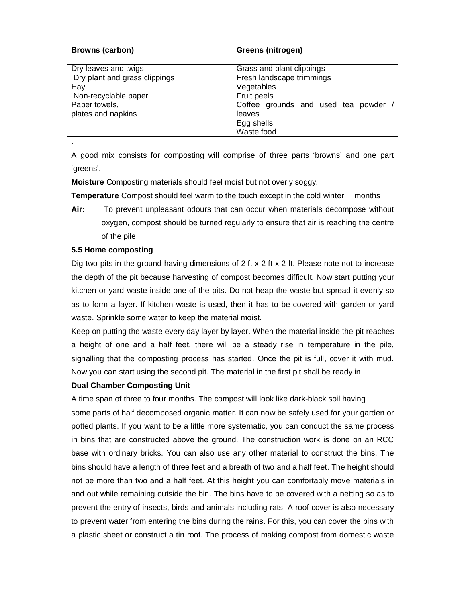| <b>Browns (carbon)</b>                                                                                                      | Greens (nitrogen)                                                                                                                                               |  |  |  |
|-----------------------------------------------------------------------------------------------------------------------------|-----------------------------------------------------------------------------------------------------------------------------------------------------------------|--|--|--|
| Dry leaves and twigs<br>Dry plant and grass clippings<br>Hay<br>Non-recyclable paper<br>Paper towels,<br>plates and napkins | Grass and plant clippings<br>Fresh landscape trimmings<br>Vegetables<br>Fruit peels<br>Coffee grounds and used tea powder<br>leaves<br>Egg shells<br>Waste food |  |  |  |

A good mix consists for composting will comprise of three parts 'browns' and one part 'greens'.

**Moisture** Composting materials should feel moist but not overly soggy.

**Temperature** Compost should feel warm to the touch except in the cold winter months

**Air:** To prevent unpleasant odours that can occur when materials decompose without oxygen, compost should be turned regularly to ensure that air is reaching the centre of the pile

## **5.5 Home composting**

.

Dig two pits in the ground having dimensions of 2 ft x 2 ft x 2 ft. Please note not to increase the depth of the pit because harvesting of compost becomes difficult. Now start putting your kitchen or yard waste inside one of the pits. Do not heap the waste but spread it evenly so as to form a layer. If kitchen waste is used, then it has to be covered with garden or yard waste. Sprinkle some water to keep the material moist.

Keep on putting the waste every day layer by layer. When the material inside the pit reaches a height of one and a half feet, there will be a steady rise in temperature in the pile, signalling that the composting process has started. Once the pit is full, cover it with mud. Now you can start using the second pit. The material in the first pit shall be ready in

## **Dual Chamber Composting Unit**

A time span of three to four months. The compost will look like dark-black soil having some parts of half decomposed organic matter. It can now be safely used for your garden or potted plants. If you want to be a little more systematic, you can conduct the same process in bins that are constructed above the ground. The construction work is done on an RCC base with ordinary bricks. You can also use any other material to construct the bins. The bins should have a length of three feet and a breath of two and a half feet. The height should not be more than two and a half feet. At this height you can comfortably move materials in and out while remaining outside the bin. The bins have to be covered with a netting so as to prevent the entry of insects, birds and animals including rats. A roof cover is also necessary to prevent water from entering the bins during the rains. For this, you can cover the bins with a plastic sheet or construct a tin roof. The process of making compost from domestic waste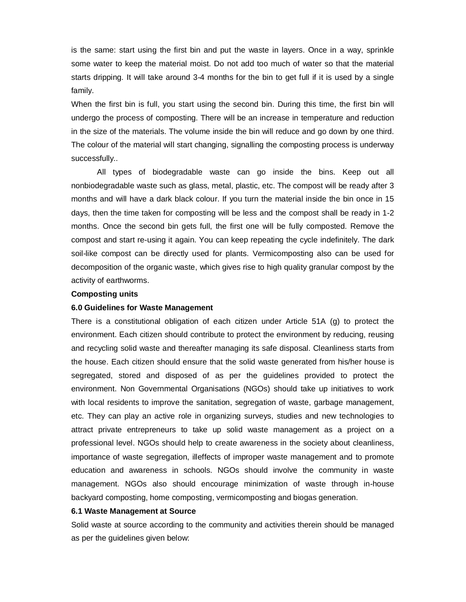is the same: start using the first bin and put the waste in layers. Once in a way, sprinkle some water to keep the material moist. Do not add too much of water so that the material starts dripping. It will take around 3-4 months for the bin to get full if it is used by a single family.

When the first bin is full, you start using the second bin. During this time, the first bin will undergo the process of composting. There will be an increase in temperature and reduction in the size of the materials. The volume inside the bin will reduce and go down by one third. The colour of the material will start changing, signalling the composting process is underway successfully..

All types of biodegradable waste can go inside the bins. Keep out all nonbiodegradable waste such as glass, metal, plastic, etc. The compost will be ready after 3 months and will have a dark black colour. If you turn the material inside the bin once in 15 days, then the time taken for composting will be less and the compost shall be ready in 1-2 months. Once the second bin gets full, the first one will be fully composted. Remove the compost and start re-using it again. You can keep repeating the cycle indefinitely. The dark soil-like compost can be directly used for plants. Vermicomposting also can be used for decomposition of the organic waste, which gives rise to high quality granular compost by the activity of earthworms.

#### **Composting units**

#### **6.0 Guidelines for Waste Management**

There is a constitutional obligation of each citizen under Article 51A (g) to protect the environment. Each citizen should contribute to protect the environment by reducing, reusing and recycling solid waste and thereafter managing its safe disposal. Cleanliness starts from the house. Each citizen should ensure that the solid waste generated from his/her house is segregated, stored and disposed of as per the guidelines provided to protect the environment. Non Governmental Organisations (NGOs) should take up initiatives to work with local residents to improve the sanitation, segregation of waste, garbage management, etc. They can play an active role in organizing surveys, studies and new technologies to attract private entrepreneurs to take up solid waste management as a project on a professional level. NGOs should help to create awareness in the society about cleanliness, importance of waste segregation, illeffects of improper waste management and to promote education and awareness in schools. NGOs should involve the community in waste management. NGOs also should encourage minimization of waste through in-house backyard composting, home composting, vermicomposting and biogas generation.

#### **6.1 Waste Management at Source**

Solid waste at source according to the community and activities therein should be managed as per the guidelines given below: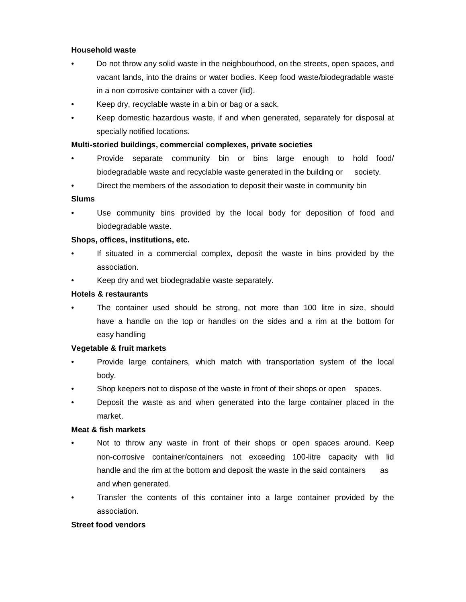## **Household waste**

- Do not throw any solid waste in the neighbourhood, on the streets, open spaces, and vacant lands, into the drains or water bodies. Keep food waste/biodegradable waste in a non corrosive container with a cover (lid).
- Keep dry, recyclable waste in a bin or bag or a sack.
- Keep domestic hazardous waste, if and when generated, separately for disposal at specially notified locations.

## **Multi-storied buildings, commercial complexes, private societies**

- Provide separate community bin or bins large enough to hold food/ biodegradable waste and recyclable waste generated in the building or society.
- Direct the members of the association to deposit their waste in community bin

## **Slums**

Use community bins provided by the local body for deposition of food and biodegradable waste.

## **Shops, offices, institutions, etc.**

- If situated in a commercial complex, deposit the waste in bins provided by the association.
- Keep dry and wet biodegradable waste separately.

## **Hotels & restaurants**

The container used should be strong, not more than 100 litre in size, should have a handle on the top or handles on the sides and a rim at the bottom for easy handling

## **Vegetable & fruit markets**

- Provide large containers, which match with transportation system of the local body.
- Shop keepers not to dispose of the waste in front of their shops or open spaces.
- Deposit the waste as and when generated into the large container placed in the market.

## **Meat & fish markets**

- Not to throw any waste in front of their shops or open spaces around. Keep non-corrosive container/containers not exceeding 100-litre capacity with lid handle and the rim at the bottom and deposit the waste in the said containers as and when generated.
- Transfer the contents of this container into a large container provided by the association.

## **Street food vendors**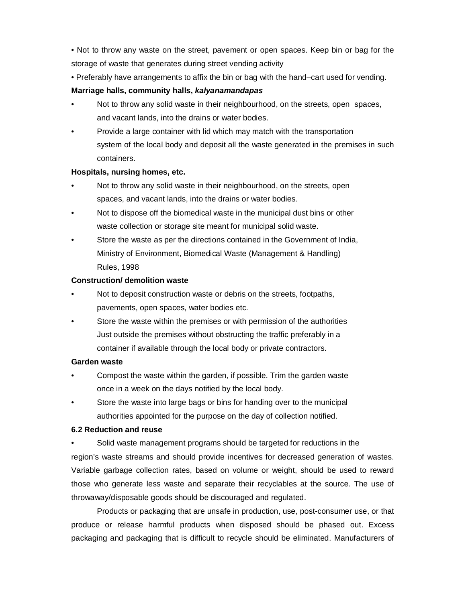• Not to throw any waste on the street, pavement or open spaces. Keep bin or bag for the storage of waste that generates during street vending activity

• Preferably have arrangements to affix the bin or bag with the hand–cart used for vending.

## **Marriage halls, community halls,** *kalyanamandapas*

- Not to throw any solid waste in their neighbourhood, on the streets, open spaces, and vacant lands, into the drains or water bodies.
- Provide a large container with lid which may match with the transportation system of the local body and deposit all the waste generated in the premises in such containers.

## **Hospitals, nursing homes, etc.**

- Not to throw any solid waste in their neighbourhood, on the streets, open spaces, and vacant lands, into the drains or water bodies.
- Not to dispose off the biomedical waste in the municipal dust bins or other waste collection or storage site meant for municipal solid waste.
- Store the waste as per the directions contained in the Government of India, Ministry of Environment, Biomedical Waste (Management & Handling) Rules, 1998

## **Construction/ demolition waste**

- Not to deposit construction waste or debris on the streets, footpaths, pavements, open spaces, water bodies etc.
- Store the waste within the premises or with permission of the authorities Just outside the premises without obstructing the traffic preferably in a container if available through the local body or private contractors.

## **Garden waste**

- Compost the waste within the garden, if possible. Trim the garden waste once in a week on the days notified by the local body.
- Store the waste into large bags or bins for handing over to the municipal authorities appointed for the purpose on the day of collection notified.

## **6.2 Reduction and reuse**

Solid waste management programs should be targeted for reductions in the region's waste streams and should provide incentives for decreased generation of wastes. Variable garbage collection rates, based on volume or weight, should be used to reward those who generate less waste and separate their recyclables at the source. The use of throwaway/disposable goods should be discouraged and regulated.

Products or packaging that are unsafe in production, use, post-consumer use, or that produce or release harmful products when disposed should be phased out. Excess packaging and packaging that is difficult to recycle should be eliminated. Manufacturers of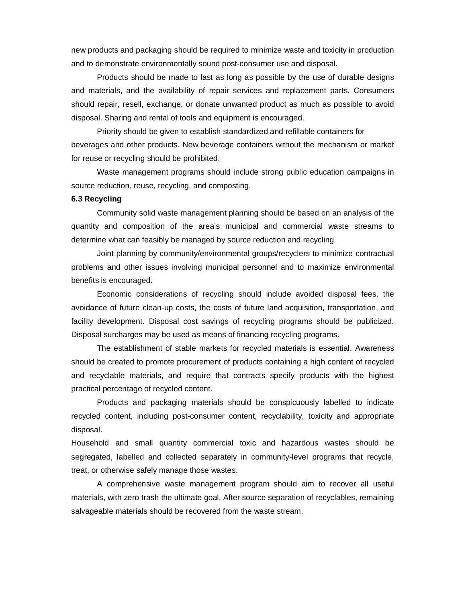new products and packaging should be required to minimize waste and toxicity in production and to demonstrate environmentally sound post-consumer use and disposal.

Products should be made to last as long as possible by the use of durable designs and materials, and the availability of repair services and replacement parts. Consumers should repair, resell, exchange, or donate unwanted product as much as possible to avoid disposal. Sharing and rental of tools and equipment is encouraged.

Priority should be given to establish standardized and refillable containers for beverages and other products. New beverage containers without the mechanism or market for reuse or recycling should be prohibited.

Waste management programs should include strong public education campaigns in source reduction, reuse, recycling, and composting.

#### **6.3 Recycling**

Community solid waste management planning should be based on an analysis of the quantity and composition of the area's municipal and commercial waste streams to determine what can feasibly be managed by source reduction and recycling.

Joint planning by community/environmental groups/recyclers to minimize contractual problems and other issues involving municipal personnel and to maximize environmental benefits is encouraged.

Economic considerations of recycling should include avoided disposal fees, the avoidance of future clean-up costs, the costs of future land acquisition, transportation, and facility development. Disposal cost savings of recycling programs should be publicized. Disposal surcharges may be used as means of financing recycling programs.

The establishment of stable markets for recycled materials is essential. Awareness should be created to promote procurement of products containing a high content of recycled and recyclable materials, and require that contracts specify products with the highest practical percentage of recycled content.

Products and packaging materials should be conspicuously labelled to indicate recycled content, including post-consumer content, recyclability, toxicity and appropriate disposal.

Household and small quantity commercial toxic and hazardous wastes should be segregated, labelled and collected separately in community-level programs that recycle, treat, or otherwise safely manage those wastes.

A comprehensive waste management program should aim to recover all useful materials, with zero trash the ultimate goal. After source separation of recyclables, remaining salvageable materials should be recovered from the waste stream.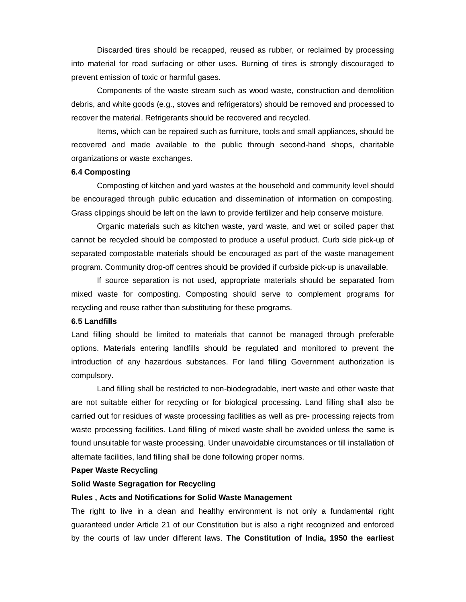Discarded tires should be recapped, reused as rubber, or reclaimed by processing into material for road surfacing or other uses. Burning of tires is strongly discouraged to prevent emission of toxic or harmful gases.

Components of the waste stream such as wood waste, construction and demolition debris, and white goods (e.g., stoves and refrigerators) should be removed and processed to recover the material. Refrigerants should be recovered and recycled.

Items, which can be repaired such as furniture, tools and small appliances, should be recovered and made available to the public through second-hand shops, charitable organizations or waste exchanges.

## **6.4 Composting**

Composting of kitchen and yard wastes at the household and community level should be encouraged through public education and dissemination of information on composting. Grass clippings should be left on the lawn to provide fertilizer and help conserve moisture.

Organic materials such as kitchen waste, yard waste, and wet or soiled paper that cannot be recycled should be composted to produce a useful product. Curb side pick-up of separated compostable materials should be encouraged as part of the waste management program. Community drop-off centres should be provided if curbside pick-up is unavailable.

If source separation is not used, appropriate materials should be separated from mixed waste for composting. Composting should serve to complement programs for recycling and reuse rather than substituting for these programs.

### **6.5 Landfills**

Land filling should be limited to materials that cannot be managed through preferable options. Materials entering landfills should be regulated and monitored to prevent the introduction of any hazardous substances. For land filling Government authorization is compulsory.

Land filling shall be restricted to non-biodegradable, inert waste and other waste that are not suitable either for recycling or for biological processing. Land filling shall also be carried out for residues of waste processing facilities as well as pre- processing rejects from waste processing facilities. Land filling of mixed waste shall be avoided unless the same is found unsuitable for waste processing. Under unavoidable circumstances or till installation of alternate facilities, land filling shall be done following proper norms.

## **Paper Waste Recycling**

## **Solid Waste Segragation for Recycling**

#### **Rules , Acts and Notifications for Solid Waste Management**

The right to live in a clean and healthy environment is not only a fundamental right guaranteed under Article 21 of our Constitution but is also a right recognized and enforced by the courts of law under different laws. **The Constitution of India, 1950 the earliest**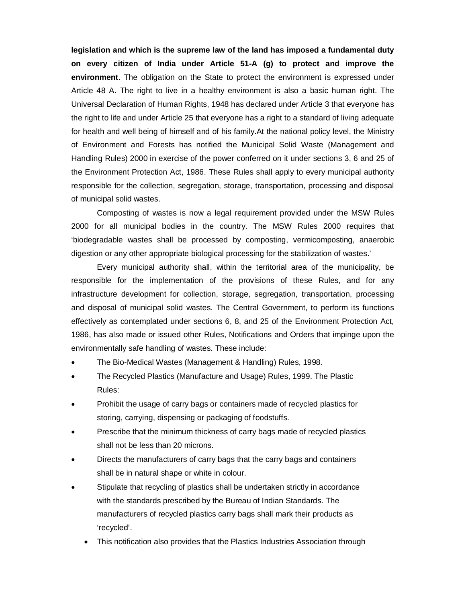**legislation and which is the supreme law of the land has imposed a fundamental duty on every citizen of India under Article 51-A (g) to protect and improve the environment**. The obligation on the State to protect the environment is expressed under Article 48 A. The right to live in a healthy environment is also a basic human right. The Universal Declaration of Human Rights, 1948 has declared under Article 3 that everyone has the right to life and under Article 25 that everyone has a right to a standard of living adequate for health and well being of himself and of his family.At the national policy level, the Ministry of Environment and Forests has notified the Municipal Solid Waste (Management and Handling Rules) 2000 in exercise of the power conferred on it under sections 3, 6 and 25 of the Environment Protection Act, 1986. These Rules shall apply to every municipal authority responsible for the collection, segregation, storage, transportation, processing and disposal of municipal solid wastes.

Composting of wastes is now a legal requirement provided under the MSW Rules 2000 for all municipal bodies in the country. The MSW Rules 2000 requires that 'biodegradable wastes shall be processed by composting, vermicomposting, anaerobic digestion or any other appropriate biological processing for the stabilization of wastes.'

Every municipal authority shall, within the territorial area of the municipality, be responsible for the implementation of the provisions of these Rules, and for any infrastructure development for collection, storage, segregation, transportation, processing and disposal of municipal solid wastes. The Central Government, to perform its functions effectively as contemplated under sections 6, 8, and 25 of the Environment Protection Act, 1986, has also made or issued other Rules, Notifications and Orders that impinge upon the environmentally safe handling of wastes. These include:

- The Bio-Medical Wastes (Management & Handling) Rules, 1998.
- The Recycled Plastics (Manufacture and Usage) Rules, 1999. The Plastic Rules:
- Prohibit the usage of carry bags or containers made of recycled plastics for storing, carrying, dispensing or packaging of foodstuffs.
- Prescribe that the minimum thickness of carry bags made of recycled plastics shall not be less than 20 microns.
- Directs the manufacturers of carry bags that the carry bags and containers shall be in natural shape or white in colour.
- Stipulate that recycling of plastics shall be undertaken strictly in accordance with the standards prescribed by the Bureau of Indian Standards. The manufacturers of recycled plastics carry bags shall mark their products as 'recycled'.
	- This notification also provides that the Plastics Industries Association through